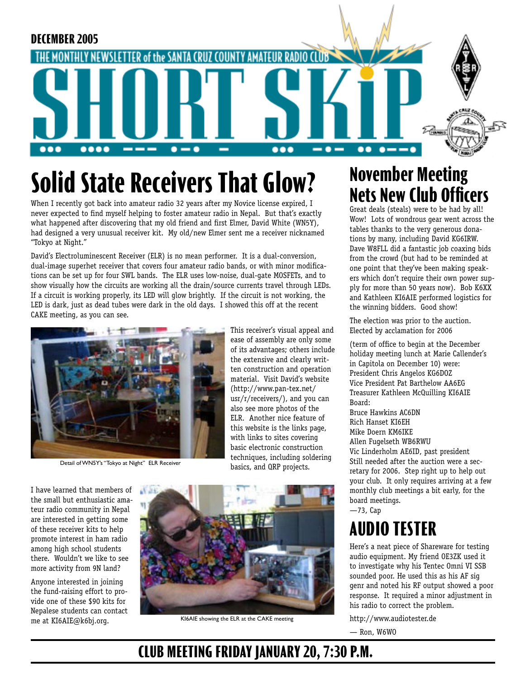

# **Solid State Receivers That Glow?**

When I recently got back into amateur radio 32 years after my Novice license expired, I never expected to find myself helping to foster amateur radio in Nepal. But that's exactly what happened after discovering that my old friend and first Elmer, David White (WN5Y), had designed a very unusual receiver kit. My old/new Elmer sent me a receiver nicknamed "Tokyo at Night."

David's Electroluminescent Receiver (ELR) is no mean performer. It is a dual-conversion, dual-image superhet receiver that covers four amateur radio bands, or with minor modifications can be set up for four SWL bands. The ELR uses low-noise, dual-gate MOSFETs, and to show visually how the circuits are working all the drain/source currents travel through LEDs. If a circuit is working properly, its LED will glow brightly. If the circuit is not working, the LED is dark, just as dead tubes were dark in the old days. I showed this off at the recent CAKE meeting, as you can see.



Detail of WN5Y's "Tokyo at Night" ELR Receiver

This receiver's visual appeal and ease of assembly are only some of its advantages; others include the extensive and clearly written construction and operation material. Visit David's website (http://www.pan-tex.net/ usr/r/receivers/), and you can also see more photos of the ELR. Another nice feature of this website is the links page, with links to sites covering basic electronic construction techniques, including soldering basics, and QRP projects.

I have learned that members of the small but enthusiastic amateur radio community in Nepal are interested in getting some of these receiver kits to help promote interest in ham radio among high school students there. Wouldn't we like to see more activity from 9N land?

Anyone interested in joining the fund-raising effort to provide one of these \$90 kits for Nepalese students can contact me at KI6AIE@k6bj.org.



KI6AIE showing the ELR at the CAKE meeting

## **November Meeting Nets New Club Officers**

Great deals (steals) were to be had by all! Wow! Lots of wondrous gear went across the tables thanks to the very generous donations by many, including David KG6IRW. Dave W8FLL did a fantastic job coaxing bids from the crowd (but had to be reminded at one point that they've been making speakers which don't require their own power supply for more than 50 years now). Bob K6XX and Kathleen KI6AIE performed logistics for the winning bidders. Good show!

The election was prior to the auction. Elected by acclamation for 2006

(term of office to begin at the December holiday meeting lunch at Marie Callender's in Capitola on December 10) were: President Chris Angelos KG6DOZ Vice President Pat Barthelow AA6EG Treasurer Kathleen McQuilling KI6AIE Board:

Bruce Hawkins AC6DN Rich Hanset KI6EH Mike Doern KM6IKE Allen Fugelseth WB6RWU Vic Linderholm AE6ID, past president Still needed after the auction were a secretary for 2006. Step right up to help out your club. It only requires arriving at a few monthly club meetings a bit early, for the board meetings.

—73, Cap

## **AUDIO TESTER**

Here's a neat piece of Shareware for testing audio equipment. My friend OE3ZK used it to investigate why his Tentec Omni VI SSB sounded poor. He used this as his AF sig genr and noted his RF output showed a poor response. It required a minor adjustment in his radio to correct the problem.

http://www.audiotester.de

— Ron, W6WO

#### **CLUB MEETING FRIDAY JANUARY 20, 7:30 P.M.**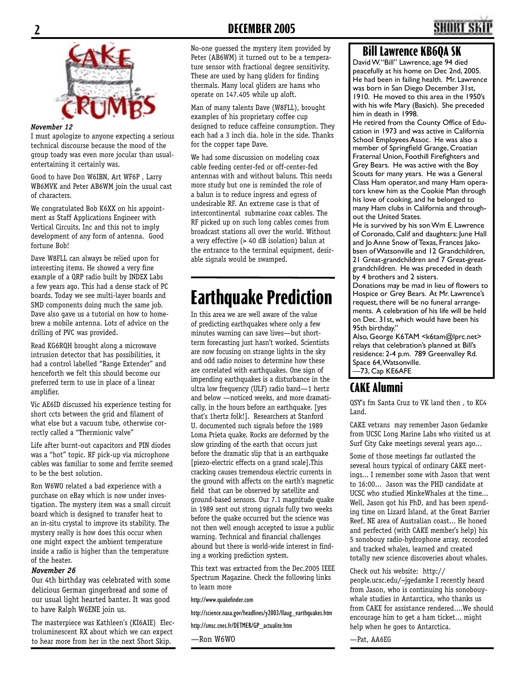

#### *November 12*

I must apologize to anyone expecting a serious technical discourse because the mood of the group toady was even more jocular than usualentertaining it certainly was.

Good to have Don W6IBN, Art WF6P , Larry WB6MVK and Peter AB6WM join the usual cast of characters.

We congratulated Bob K6XX on his appointment as Staff Applications Engineer with Vertical Circuits, Inc and this not to imply development of any form of antenna. Good fortune Bob!

Dave W8FLL can always be relied upon for interesting items. He showed a very fine example of a QRP radio built by INDEX Labs a few years ago. This had a dense stack of PC boards. Today we see multi-layer boards and SMD components doing much the same job. Dave also gave us a tutorial on how to homebrew a mobile antenna. Lots of advice on the drilling of PVC was provided.

Read KG6RQH brought along a microwave intrusion detector that has possibilities, it had a control labelled "Range Extender" and henceforth we felt this should become our preferred term to use in place of a linear amplifier.

Vic AE6ID discussed his experience testing for short ccts between the grid and filament of what else but a vacuum tube, otherwise correctly called a "Thermionic valve"

Life after burnt-out capacitors and PIN diodes was a "hot" topic. RF pick-up via microphone cables was familiar to some and ferrite seemed to be the best solution.

Ron W6WO related a bad experience with a purchase on eBay which is now under investigation. The mystery item was a small circuit board which is designed to transfer heat to an in-situ crystal to improve its stability. The mystery really is how does this occur when one might expect the ambient temperature inside a radio is higher than the temperature of the heater.

#### *November 26*

Our 4th birthday was celebrated with some delicious German gingerbread and some of our usual light hearted banter. It was good to have Ralph W6ENE join us.

The masterpiece was Kathleen's (KI6AIE) Electroluminescent RX about which we can expect to hear more from her in the next Short Skip.

No-one guessed the mystery item provided by Peter (AB6WM) it turned out to be a temperature sensor with fractional degree sensitivity. These are used by hang gliders for finding thermals. Many local gliders are hams who operate on 147.405 while up aloft.

Man of many talents Dave (W8FLL), brought examples of his proprietary coffee cup designed to reduce caffeine consumption. They each had a 3 inch dia. hole in the side. Thanks for the copper tape Dave.

We had some discussion on modeling coax cable feeding center-fed or off-center-fed antennas with and without baluns. This needs more study but one is reminded the role of a balun is to reduce ingress and egress of undesirable RF. An extreme case is that of intercontinental submarine coax cables. The RF picked up on such long cables comes from broadcast stations all over the world. Without a very effective (> 40 dB isolation) balun at the entrance to the terminal equipment, desirable signals would be swamped.

## **Earthquake Prediction**

In this area we are well aware of the value of predicting earthquakes where only a few minutes warning can save lives—but shortterm forecasting just hasn't worked. Scientists are now focusing on strange lights in the sky and odd radio noises to determine how these are correlated with earthquakes. One sign of impending earthquakes is a disturbance in the ultra low frequency (ULF) radio band—1 hertz and below —noticed weeks, and more dramatically, in the hours before an earthquake. [yes that's 1hertz folk!]. Researchers at Stanford U. documented such signals before the 1989 Loma Prieta quake. Rocks are deformed by the slow grinding of the earth that occurs just before the dramatic slip that is an earthquake [piezo-electric effects on a grand scale].This cracking causes tremendous electric currents in the ground with affects on the earth's magnetic field that can be observed by satellite and ground-based sensors. Our 7.1 magnitude quake in 1989 sent out strong signals fully two weeks before the quake occurred but the science was not then well enough accepted to issue a public warning. Technical and financial challenges abound but there is world-wide interest in finding a working prediction system.

This text was extracted from the Dec.2005 IEEE Spectrum Magazine. Check the following links to learn more

http://www.quakefinder.com

http://science.nasa.gov/headlines/y2003/llaug\_earthquakes.htm

http://smsc.cnes.fr/DETMER/GP\_actualite.htm

—Ron W6WO

#### **Bill Lawrence KB6QA SK**

David W. "Bill" Lawrence, age 94 died peacefully at his home on Dec 2nd, 2005. .<br>He had been in failing health. Mr. Lawrence was born in San Diego December 31st, 1910. He moved to this area in the 1950's with his wife Mary (Basich). She preceded him in death in 1998.

He retired from the County Office of Education in 1973 and was active in California School Employees Assoc. He was also a member of Springfield Grange, Croatian Fraternal Union, Foothill Firefighters and Grey Bears. He was active with the Boy Scouts for many years. He was a General Class Ham operator, and many Ham operators knew him as the Cookie Man through his love of cooking, and he belonged to many Ham clubs in California and throughout the United States.

He is survived by his son Wm E. Lawrence of Coronado, Calif and daughters: June Hall and Io Anne Snow of Texas, Frances Jakobsen of Watsonville and 12 Grandchildren, 21 Great-grandchildren and 7 Great-greatgrandchildren. He was preceded in death by 4 brothers and 2 sisters.

Donations may be mad in lieu of flowers to Hospice or Grey Bears. At Mr. Lawrence's request, there will be no funeral arrangements. A celebration of his life will be held on Dec. 31st, which would have been his 95th birthday."

Also, George K6TAM <k6tam@lprc.net> relays that celebration's planned at Bill's residence: 2-4 p.m. 789 Greenvalley Rd. Space 64, Watsonville. —73, Cap KE6AFE

#### **CAKE Alumni**

QSY's fm Santa Cruz to VK land then , to KC4 Land.

CAKE vetrans may remember Jason Gedamke from UCSC Long Marine Labs who visited us at Surf City Cake meetings several years ago...

Some of those meetings far outlasted the several hours typical of ordinary CAKE meetings... I remember some with Jason that went to 16:00... Jason was the PHD candidate at UCSC who studied MinkeWhales at the time... Well, Jason got his PhD, and has been spending time on Lizard Island, at the Great Barrier Reef, NE area of Australian coast... He honed and perfected (with CAKE member's help) his 5 sonobouy radio-hydrophone array, recorded and tracked whales, learned and created totally new science discoveries about whales.

Check out his website: http:// people.ucsc.edu/~jgedamke I recently heard from Jason, who is continuing his sonobouywhale studies in Antarctica, who thanks us from CAKE for assistance rendered....We should encourage him to get a ham ticket... might help when he goes to Antarctica.

—Pat, AA6EG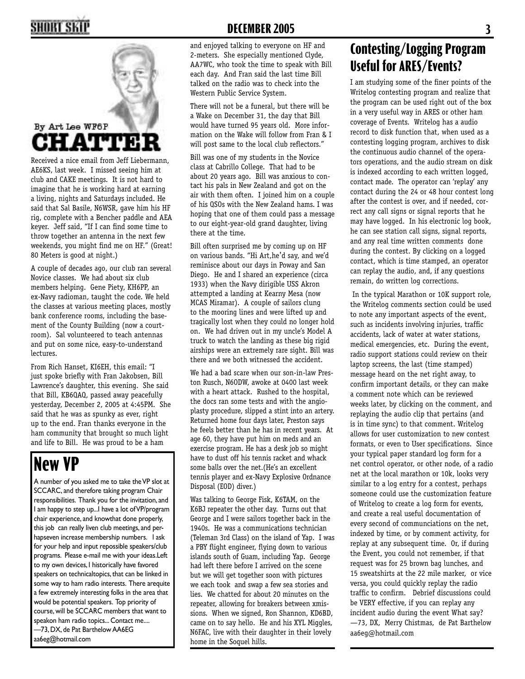

AE6KS, last week. I missed seeing him at club and CAKE meetings. It is not hard to imagine that he is working hard at earning a living, nights and Saturdays included. He said that Sal Basile, N6WSR, gave him his HF rig, complete with a Bencher paddle and AEA keyer. Jeff said, "If I can find some time to throw together an antenna in the next few weekends, you might find me on HF." (Great! 80 Meters is good at night.)

A couple of decades ago, our club ran several Novice classes. We had about six club members helping. Gene Piety, KH6PP, an ex-Navy radioman, taught the code. We held the classes at various meeting places, mostly bank conference rooms, including the basement of the County Building (now a courtroom). Sal volunteered to teach antennas and put on some nice, easy-to-understand lectures.

From Rich Hanset, KI6EH, this email: "I just spoke briefly with Fran Jakobsen, Bill Lawrence's daughter, this evening. She said that Bill, KB6QAQ, passed away peacefully yesterday, December 2, 2005 at 4:45PM. She said that he was as spunky as ever, right up to the end. Fran thanks everyone in the ham community that brought so much light and life to Bill. He was proud to be a ham

## **New VP**

A number of you asked me to take the VP slot at SCCARC, and therefore taking program Chair responsibilities. Thank you for the invitation, and I am happy to step up...I have a lot of VP/program chair experience, and knowthat done properly, this job can really liven club meetings, and perhapseven increase membership numbers. I ask for your help and input repossible speakers/club programs. Please e-mail me with your ideas.Left to my own devices, I historically have favored speakers on technicaltopics, that can be linked in some way to ham radio interests. There arequite a few extremely interesting folks in the area that would be potential speakers. Top priority of course, will be SCCARC members that want to speakon ham radio topics... Contact me.... —73, DX, de Pat Barthelow AA6EG aa6eg@hotmail.com

#### **2 DECEMBER 2005 3**

and enjoyed talking to everyone on HF and 2-meters. She especially mentioned Clyde, AA7WC, who took the time to speak with Bill each day. And Fran said the last time Bill talked on the radio was to check into the Western Public Service System.

There will not be a funeral, but there will be a Wake on December 31, the day that Bill would have turned 95 years old. More information on the Wake will follow from Fran & I will post same to the local club reflectors."

Bill was one of my students in the Novice class at Cabrillo College. That had to be about 20 years ago. Bill was anxious to contact his pals in New Zealand and got on the air with them often. I joined him on a couple of his QSOs with the New Zealand hams. I was hoping that one of them could pass a message to our eight-year-old grand daughter, living there at the time.

Bill often surprised me by coming up on HF on various bands. "Hi Art,he'd say, and we'd reminisce about our days in Poway and San Diego. He and I shared an experience (circa 1933) when the Navy dirigible USS Akron attempted a landing at Kearny Mesa (now MCAS Miramar). A couple of sailors clung to the mooring lines and were lifted up and tragically lost when they could no longer hold on. We had driven out in my uncle's Model A truck to watch the landing as these big rigid airships were an extremely rare sight. Bill was there and we both witnessed the accident.

We had a bad scare when our son-in-law Preston Rusch, N6ODW, awoke at 0400 last week with a heart attack. Rushed to the hospital, the docs ran some tests and with the angioplasty procedure, slipped a stint into an artery. Returned home four days later, Preston says he feels better than he has in recent years. At age 60, they have put him on meds and an exercise program. He has a desk job so might have to dust off his tennis racket and whack some balls over the net.(He's an excellent tennis player and ex-Navy Explosive Ordnance Disposal (EOD) diver.)

Was talking to George Fisk, K6TAM, on the K6BJ repeater the other day. Turns out that George and I were sailors together back in the 1940s. He was a communications technician (Teleman 3rd Class) on the island of Yap. I was a PBY flight engineer, flying down to various islands south of Guam, including Yap. George had left there before I arrived on the scene but we will get together soon with pictures we each took and swap a few sea stories and lies. We chatted for about 20 minutes on the repeater, allowing for breakers between xmissions. When we signed, Ron Shannon, KD6BD, came on to say hello. He and his XYL Miggles, N6FAC, live with their daughter in their lovely home in the Soquel hills.

#### **Contesting/Logging Program Useful for ARES/Events?**

I am studying some of the finer points of the Writelog contesting program and realize that the program can be used right out of the box in a very useful way in ARES or other ham coverage of Events. Writelog has a audio record to disk function that, when used as a contesting logging program, archives to disk the continuous audio channel of the operators operations, and the audio stream on disk is indexed according to each written logged, contact made. The operator can 'replay' any contact during the 24 or 48 hour contest long after the contest is over, and if needed, correct any call signs or signal reports that he may have logged. In his electronic log book, he can see station call signs, signal reports, and any real time written comments done during the contest. By clicking on a logged contact, which is time stamped, an operator can replay the audio, and, if any questions remain, do written log corrections.

 In the typical Marathon or 10K support role, the Writelog comments section could be used to note any important aspects of the event, such as incidents involving injuries, traffic accidents, lack of water at water stations, medical emergencies, etc. During the event, radio support stations could review on their laptop screens, the last (time stamped) message heard on the net right away, to confirm important details, or they can make a comment note which can be reviewed weeks later, by clicking on the comment, and replaying the audio clip that pertains (and is in time sync) to that comment. Writelog allows for user customization to new contest formats, or even to User specifications. Since your typical paper standard log form for a net control operator, or other node, of a radio net at the local marathon or 10k, looks very similar to a log entry for a contest, perhaps someone could use the customization feature of Writelog to create a log form for events, and create a real useful documentation of every second of communciations on the net, indexed by time, or by comment activity, for replay at any subsequent time. Or, if during the Event, you could not remember, if that request was for 25 brown bag lunches, and 15 sweatshirts at the 22 mile marker, or vice versa, you could quickly replay the radio traffic to confirm. Debrief discussions could be VERY effective, if you can replay any incident audio during the event What say? —73, DX, Merry Chistmas, de Pat Barthelow aa6eg@hotmail.com